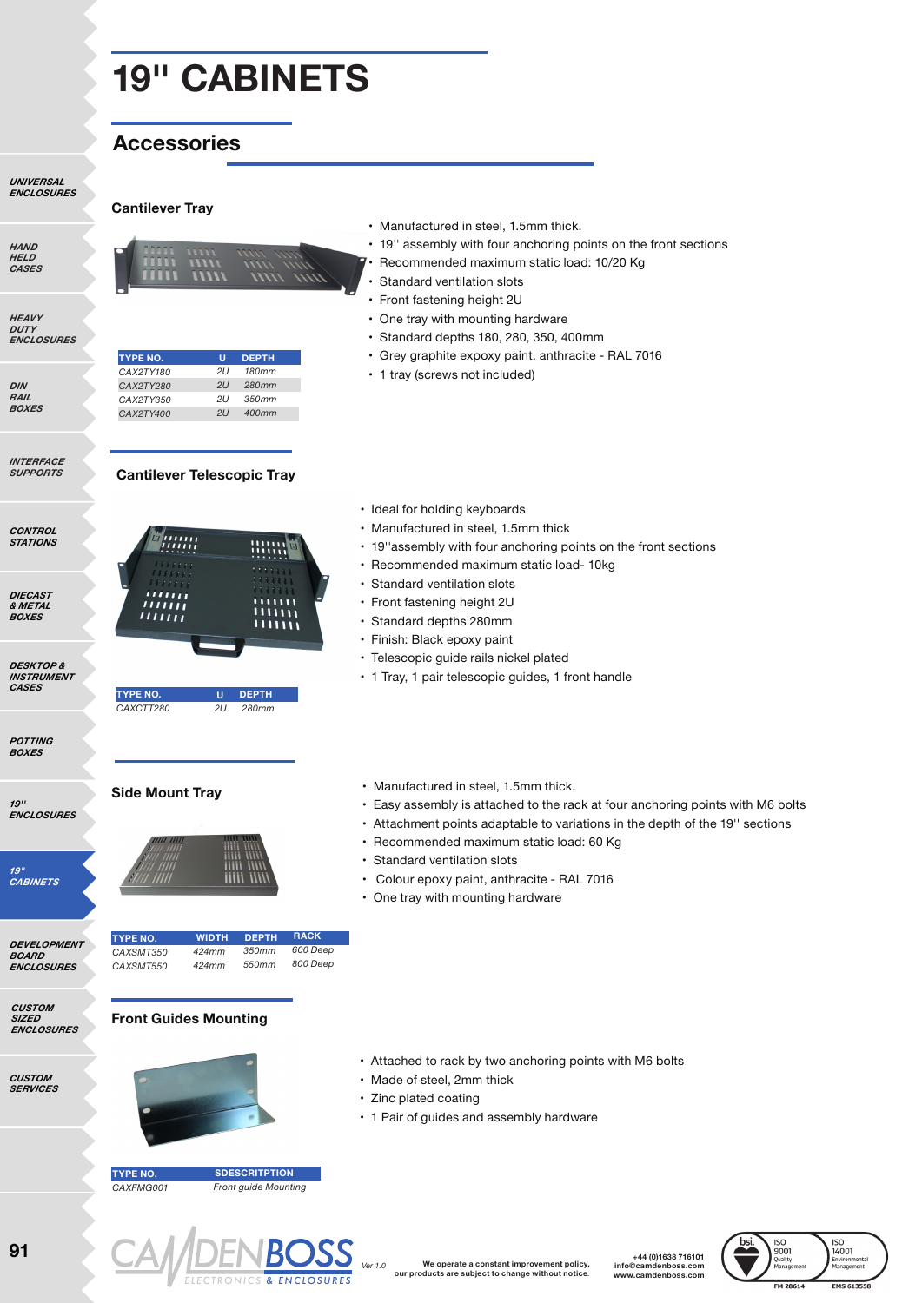**U** *2U 180mm 2U 280mm 2U 350mm 2U 400mm*

**DEPTH**

# **Accessories**

**Cantilever Tray**

**TYPE NO.** *CAX2TY180 CAX2TY280 CAX2TY350 CAX2TY400*

*UNIVERSAL ENCLOSURES*

| ,,,,,,,,     |  |
|--------------|--|
| HELD         |  |
| <i>CASES</i> |  |
|              |  |
|              |  |

*HAND* 

*HEAVY DUTY ENCLOSURES*

*DIN RAIL BOXES*

*INTERFACE SUPPORTS*

*CONTROL STATIONS*

*DIECAST & METAL BOXES*

*DESKTOP & INSTRUMENT CASES*

*POTTING BOXES*

*19'' ENCLOSURES*

*19" CABINETS*

*DEVELOPMENT BOARD ENCLOSURES*

*CUSTOM SIZED ENCLOSURES*

*CUSTOM SERVICES*

**Cantilever Telescopic Tray** WWW  $111111$ <u>miilii</u>  $\overline{111111}$ • Standard depths 280mm  $111111$ • Finish: Black epoxy paint **TYPE NO. U DEPTH** *CAXCTT280 2U 280mm* **Side Mount Tray** • Manufactured in steel, 1.5mm thick. **RACK WIDTH DEPTH TYPE NO.** *350mm 424mm 600 Deep CAXSMT350 800 Deep 424mm 550mm CAXSMT550* **Front Guides Mounting**  • Attached to rack by two anchoring points with M6 bolts • Made of steel, 2mm thick • Zinc plated coating **TYPE NO. SDESCRITPTION** *CAXFMG001 Front guide Mounting*

- Manufactured in steel, 1.5mm thick.
- 19'' assembly with four anchoring points on the front sections
- Recommended maximum static load: 10/20 Kg
- Standard ventilation slots
- Front fastening height 2U
- One tray with mounting hardware
- Standard depths 180, 280, 350, 400mm
- Grey graphite expoxy paint, anthracite RAL 7016
- 1 tray (screws not included)
- Ideal for holding keyboards
- Manufactured in steel, 1.5mm thick
- 19''assembly with four anchoring points on the front sections
- Recommended maximum static load- 10kg
- Standard ventilation slots
- Front fastening height 2U
- 
- 
- Telescopic guide rails nickel plated
- 1 Tray, 1 pair telescopic guides, 1 front handle
- 
- Easy assembly is attached to the rack at four anchoring points with M6 bolts
- Attachment points adaptable to variations in the depth of the 19'' sections
- Recommended maximum static load: 60 Kg
- Standard ventilation slots
- Colour epoxy paint, anthracite RAL 7016
- One tray with mounting hardware

• 1 Pair of guides and assembly hardware



**+44 (0)1638 716101 info@camdenboss.com www.camdenboss.com**

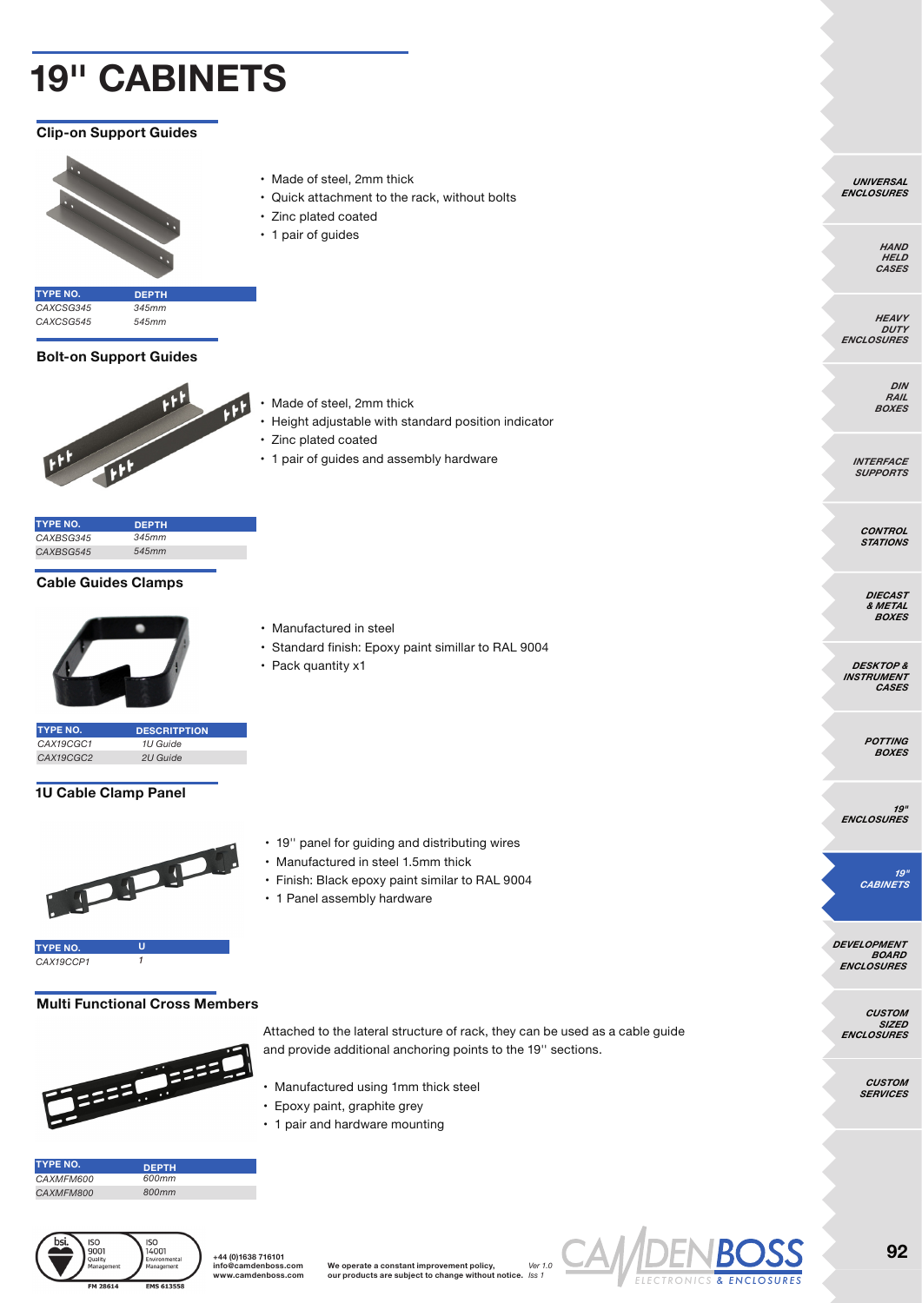### **Clip-on Support Guides**



- Made of steel, 2mm thick
- Quick attachment to the rack, without bolts
- Zinc plated coated
- 1 pair of guides

**TYPE NO.** *CAXCSG345 CAXCSG545* **DEPTH** *345mm 545mm*

### **Bolt-on Support Guides**



- Made of steel, 2mm thick
- Height adjustable with standard position indicator

• Standard finish: Epoxy paint simillar to RAL 9004

• 19'' panel for guiding and distributing wires • Manufactured in steel 1.5mm thick

• Finish: Black epoxy paint similar to RAL 9004

• Zinc plated coated

• Manufactured in steel

• Pack quantity x1

• 1 pair of guides and assembly hardware

| <b>TYPE NO.</b> | <b>DEPTH</b> |  |
|-----------------|--------------|--|
| CAXBSG345       | 345mm        |  |
| CAXBSG545       | 545mm        |  |

### **Cable Guides Clamps**



- **TYPE NO.** *CAX19CGC1 CAX19CGC2* **DESCRITPTION** *1U Guide 2U Guide*
- **1U Cable Clamp Panel**



*CAX19CCP1 1*

### **Multi Functional Cross Members**



Attached to the lateral structure of rack, they can be used as a cable guide and provide additional anchoring points to the 19'' sections.

- Manufactured using 1mm thick steel
- Epoxy paint, graphite grey

• 1 Panel assembly hardware

• 1 pair and hardware mounting

| <b>TYPE NO.</b> | <b>DEPTH</b> |
|-----------------|--------------|
| CAXMFM600       | 600mm        |
| CAXMFM800       | 800mm        |



**+44 (0)1638 716101 info@camdenboss.com www.camdenboss.com**

**We operate a constant improvement policy, our products are subject to change without notice.** *Iss 1 Ver 1.0*



*HAND* 

*UNIVERSAL ENCLOSURES*

> *HELD CASES*

*HEAVY DUTY ENCLOSURES*

> *DIN RAIL BOXES*

*INTERFACE SUPPORTS*

> *CONTROL STATIONS*

*DIECAST & METAL BOXES*

*DESKTOP & INSTRUMENT CASES*

> *POTTING BOXES*

*19" ENCLOSURES*

*19" CABINETS*

*DEVELOPMENT BOARD ENCLOSURES*

*CUSTOM SIZED ENCLOSURES*

> *CUSTOM SERVICES*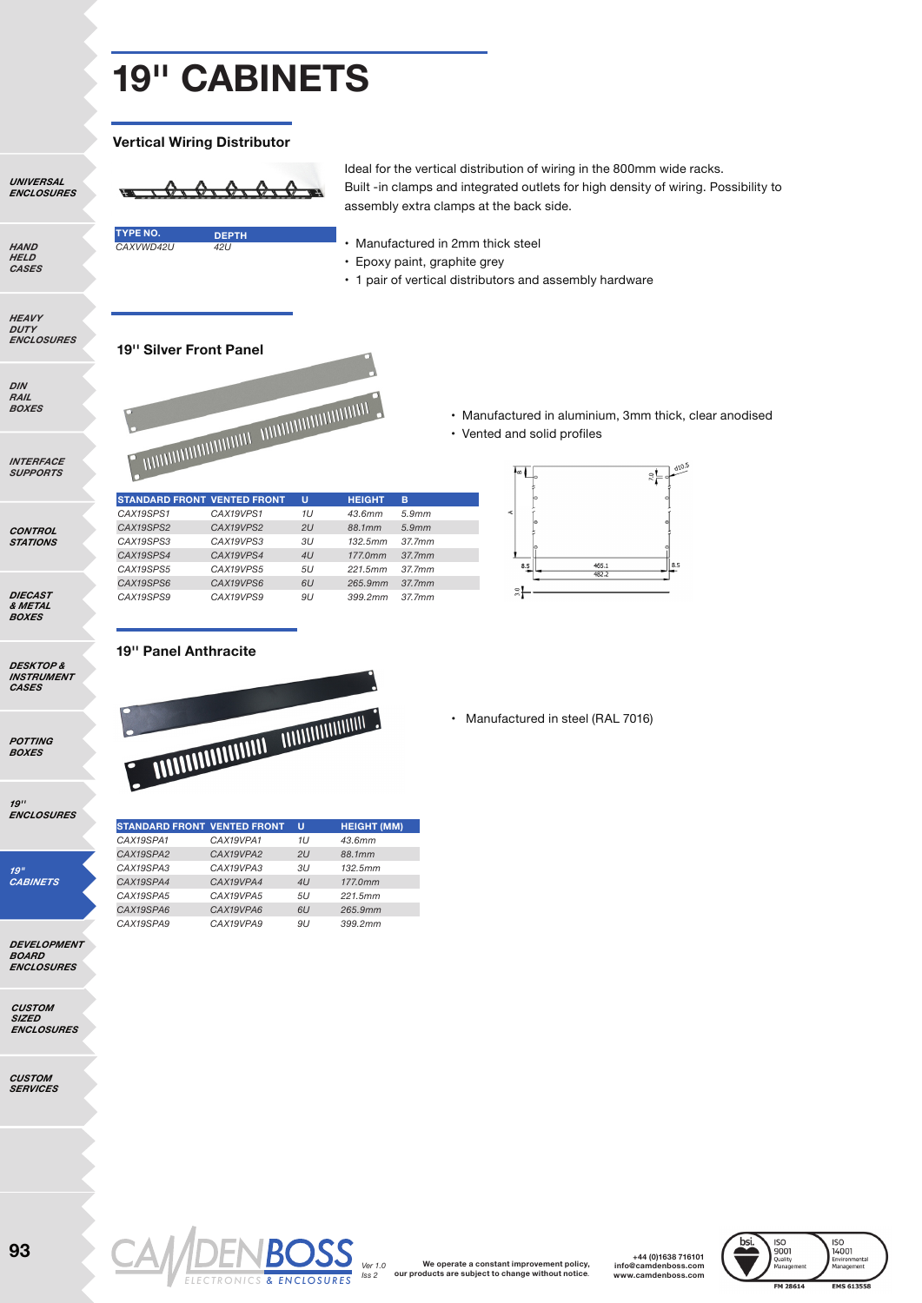$\Theta$   $\tau$  $\bigoplus_{\infty}$ 

#### **Vertical Wiring Distributor**

*UNIVERSAL ENCLOSURES*

*HAND HELD CASES*

*HEAVY DUTY ENCLOSURES* **TYPE NO.** *CAXVWD42U* **DEPTH** *42U*

Ideal for the vertical distribution of wiring in the 800mm wide racks. Built -in clamps and integrated outlets for high density of wiring. Possibility to assembly extra clamps at the back side.

- 
- Manufactured in 2mm thick steel
- Epoxy paint, graphite grey
- 1 pair of vertical distributors and assembly hardware

• Vented and solid profiles

 $\approx$ 

### **19'' Silver Front Panel**



*BOXES*

*INTERFACE SUPPORTS*

*CONTROL STATIONS*

*DIECAST & METAL BOXES*

*DESKTOP & INSTRUMENT CASES*

*POTTING BOXES*

*19'' ENCLOSURES*

*19" CABINETS*

*DEVELOPMENT BOARD ENCLOSURES*

*CUSTOM SIZED ENCLOSURES*

*CUSTOM SERVICES*

**STANDARD FRONT VENTED FRONT** *CAX19SPS1 CAX19SPS2 CAX19SPS3 CAX19SPS4 CAX19SPS5 CAX19SPS6 CAX19SPS9* **U** *1U 2U 3U 4U 5U 6U 9U* **HEIGHT** *43.6mm 88.1mm 132.5mm 177.0mm 221.5mm 265.9mm 399.2mm* **B** *5.9mm 5.9mm 37.7mm 37.7mm 37.7mm 37.7mm 37.7mm CAX19VPS1 CAX19VPS2 CAX19VPS3 CAX19VPS4 CAX19VPS5 CAX19VPS6 CAX19VPS9*



• Manufactured in aluminium, 3mm thick, clear anodised

**19'' Panel Anthracite**



**STANDARD FRONT VENTED FRONT** *CAX19SPA1 CAX19SPA2 CAX19SPA3 CAX19SPA4 CAX19SPA5 CAX19SPA6 CAX19SPA9* **U** *1U 2U 3U 4U 5U 6U 9U* **HEIGHT (MM)** *43.6mm 88.1mm 132.5mm 177.0mm 221.5mm 265.9mm 399.2mm CAX19VPA1 CAX19VPA2 CAX19VPA3 CAX19VPA4 CAX19VPA5 CAX19VPA6 CAX19VPA9*

> **We operate a constant improvement policy, our products are subject to change without notice***. Ver 1.0 Iss 2 ELECTRONICS & ENCLOSURES*



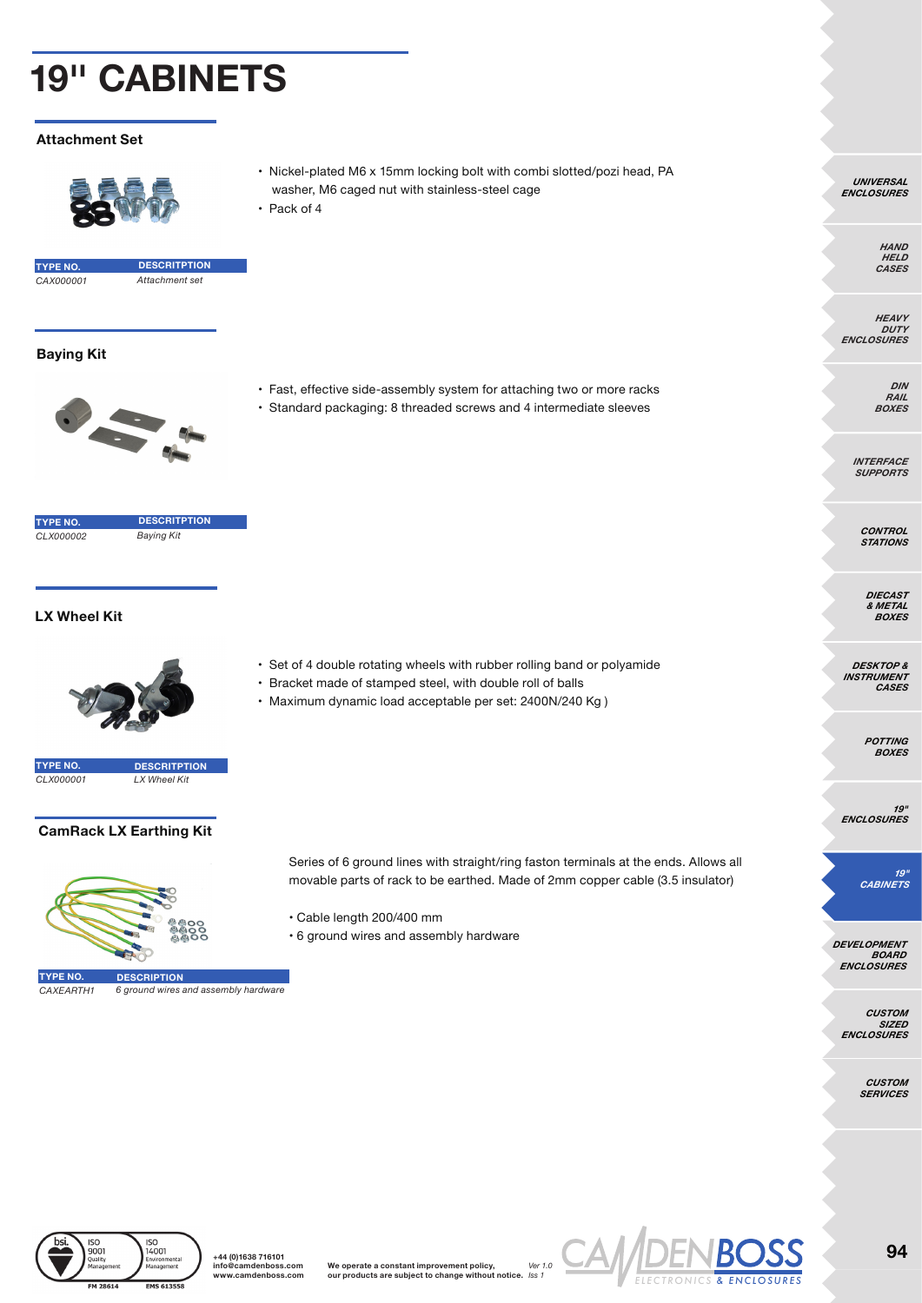### **Attachment Set**



- Nickel-plated M6 x 15mm locking bolt with combi slotted/pozi head, PA washer, M6 caged nut with stainless-steel cage
- Pack of 4



**TYPE NO.** *CAX000001 Attachment set* **DESCRITPTION**

### **Baying Kit**



• Fast, effective side-assembly system for attaching two or more racks • Standard packaging: 8 threaded screws and 4 intermediate sleeves

**TYPE NO.** *CLX000002 Baying Kit* 

**DESCRITPTION**

# **LX Wheel Kit**



**TYPE NO.** *CLX000001* **DESCRITPTION** *LX Wheel Kit* 

### **CamRack LX Earthing Kit**



*CAXEARTH1 6 ground wires and assembly hardware*

- Set of 4 double rotating wheels with rubber rolling band or polyamide
- Bracket made of stamped steel, with double roll of balls
- Maximum dynamic load acceptable per set: 2400N/240 Kg )

- Series of 6 ground lines with straight/ring faston terminals at the ends. Allows all movable parts of rack to be earthed. Made of 2mm copper cable (3.5 insulator)
- Cable length 200/400 mm
- 6 ground wires and assembly hardware







*UNIVERSAL ENCLOSURES*

> *HAND HELD CASES*

*HEAVY DUTY ENCLOSURES*

> *DIN RAIL BOXES*

*INTERFACE SUPPORTS*

> *CONTROL STATIONS*

*DIECAST & METAL BOXES*

*DESKTOP & INSTRUMENT CASES*

> *POTTING BOXES*

*19" ENCLOSURES*

*19" CABINETS*

*DEVELOPMENT BOARD ENCLOSURES*

*CUSTOM SIZED ENCLOSURES*

> *CUSTOM SERVICES*

> > **94**